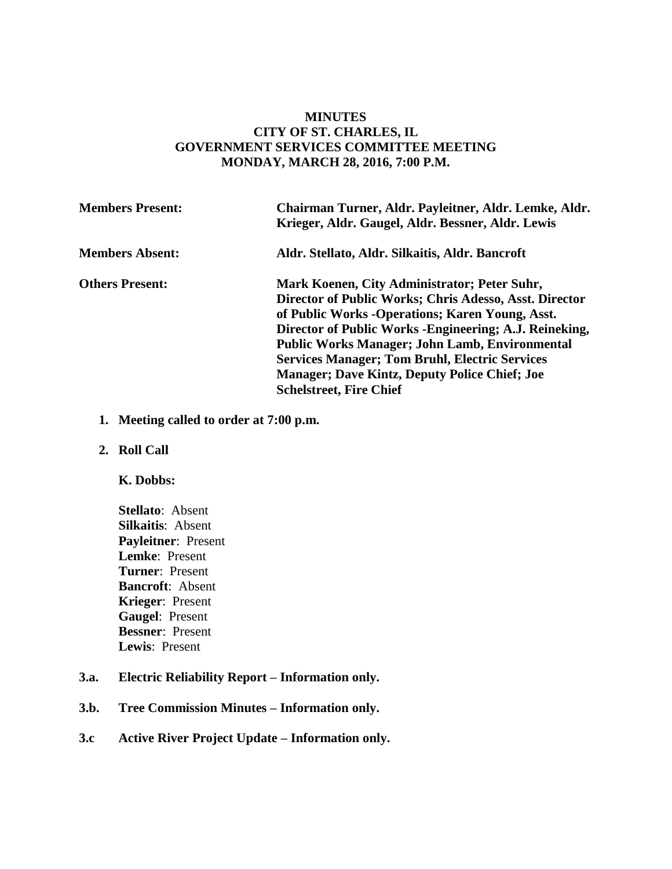### **MINUTES CITY OF ST. CHARLES, IL GOVERNMENT SERVICES COMMITTEE MEETING MONDAY, MARCH 28, 2016, 7:00 P.M.**

| <b>Members Present:</b> | Chairman Turner, Aldr. Payleitner, Aldr. Lemke, Aldr.<br>Krieger, Aldr. Gaugel, Aldr. Bessner, Aldr. Lewis |
|-------------------------|------------------------------------------------------------------------------------------------------------|
| <b>Members Absent:</b>  | Aldr. Stellato, Aldr. Silkaitis, Aldr. Bancroft                                                            |
| <b>Others Present:</b>  | Mark Koenen, City Administrator; Peter Suhr,                                                               |
|                         | Director of Public Works; Chris Adesso, Asst. Director                                                     |
|                         | of Public Works - Operations; Karen Young, Asst.                                                           |
|                         | Director of Public Works - Engineering; A.J. Reineking,                                                    |
|                         | <b>Public Works Manager; John Lamb, Environmental</b>                                                      |
|                         | <b>Services Manager; Tom Bruhl, Electric Services</b>                                                      |
|                         | <b>Manager; Dave Kintz, Deputy Police Chief; Joe</b>                                                       |
|                         | <b>Schelstreet, Fire Chief</b>                                                                             |

- **1. Meeting called to order at 7:00 p.m.**
- **2. Roll Call**

#### **K. Dobbs:**

**Stellato**: Absent **Silkaitis**: Absent **Payleitner**: Present **Lemke**: Present **Turner**: Present **Bancroft**: Absent **Krieger**: Present **Gaugel**: Present **Bessner**: Present **Lewis**: Present

#### **3.a. Electric Reliability Report – Information only.**

**3.b. Tree Commission Minutes – Information only.** 

# **3.c Active River Project Update – Information only.**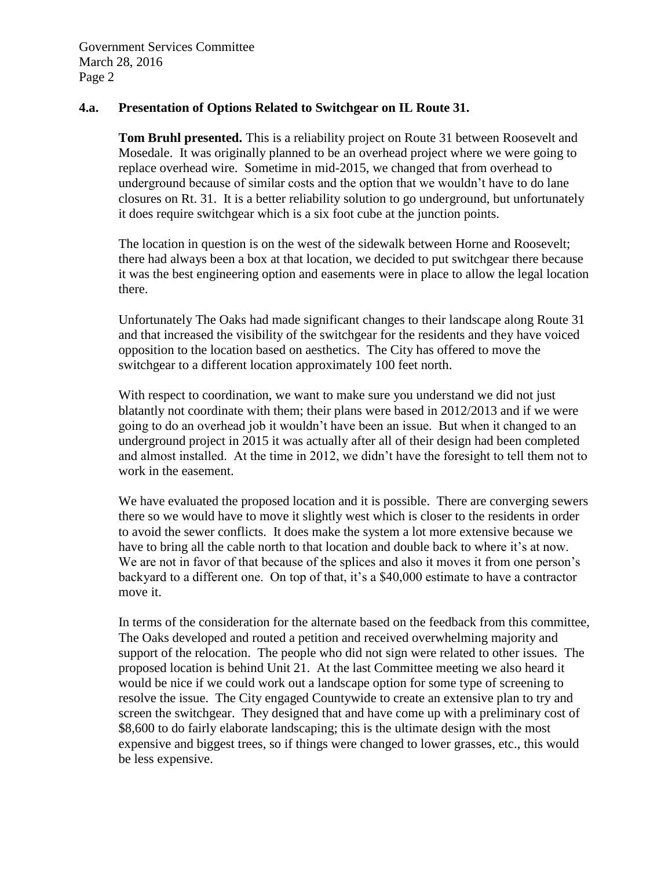### **4.a. Presentation of Options Related to Switchgear on IL Route 31.**

**Tom Bruhl presented.** This is a reliability project on Route 31 between Roosevelt and Mosedale. It was originally planned to be an overhead project where we were going to replace overhead wire. Sometime in mid-2015, we changed that from overhead to underground because of similar costs and the option that we wouldn't have to do lane closures on Rt. 31. It is a better reliability solution to go underground, but unfortunately it does require switchgear which is a six foot cube at the junction points.

The location in question is on the west of the sidewalk between Horne and Roosevelt; there had always been a box at that location, we decided to put switchgear there because it was the best engineering option and easements were in place to allow the legal location there.

Unfortunately The Oaks had made significant changes to their landscape along Route 31 and that increased the visibility of the switchgear for the residents and they have voiced opposition to the location based on aesthetics. The City has offered to move the switchgear to a different location approximately 100 feet north.

With respect to coordination, we want to make sure you understand we did not just blatantly not coordinate with them; their plans were based in 2012/2013 and if we were going to do an overhead job it wouldn't have been an issue. But when it changed to an underground project in 2015 it was actually after all of their design had been completed and almost installed. At the time in 2012, we didn't have the foresight to tell them not to work in the easement.

We have evaluated the proposed location and it is possible. There are converging sewers there so we would have to move it slightly west which is closer to the residents in order to avoid the sewer conflicts. It does make the system a lot more extensive because we have to bring all the cable north to that location and double back to where it's at now. We are not in favor of that because of the splices and also it moves it from one person's backyard to a different one. On top of that, it's a \$40,000 estimate to have a contractor move it.

In terms of the consideration for the alternate based on the feedback from this committee, The Oaks developed and routed a petition and received overwhelming majority and support of the relocation. The people who did not sign were related to other issues. The proposed location is behind Unit 21. At the last Committee meeting we also heard it would be nice if we could work out a landscape option for some type of screening to resolve the issue. The City engaged Countywide to create an extensive plan to try and screen the switchgear. They designed that and have come up with a preliminary cost of \$8,600 to do fairly elaborate landscaping; this is the ultimate design with the most expensive and biggest trees, so if things were changed to lower grasses, etc., this would be less expensive.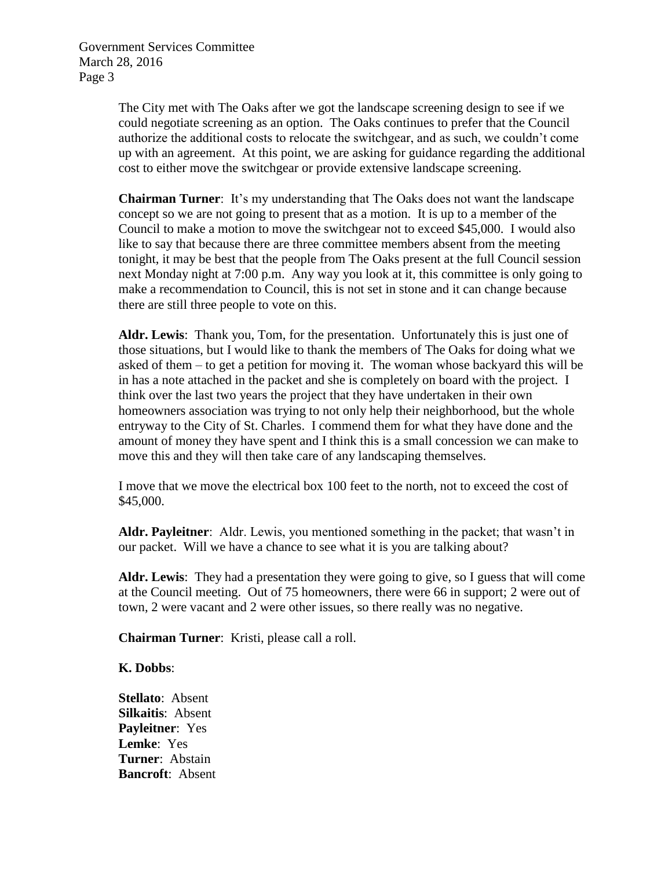> The City met with The Oaks after we got the landscape screening design to see if we could negotiate screening as an option. The Oaks continues to prefer that the Council authorize the additional costs to relocate the switchgear, and as such, we couldn't come up with an agreement. At this point, we are asking for guidance regarding the additional cost to either move the switchgear or provide extensive landscape screening.

> **Chairman Turner**: It's my understanding that The Oaks does not want the landscape concept so we are not going to present that as a motion. It is up to a member of the Council to make a motion to move the switchgear not to exceed \$45,000. I would also like to say that because there are three committee members absent from the meeting tonight, it may be best that the people from The Oaks present at the full Council session next Monday night at 7:00 p.m. Any way you look at it, this committee is only going to make a recommendation to Council, this is not set in stone and it can change because there are still three people to vote on this.

> **Aldr. Lewis**: Thank you, Tom, for the presentation. Unfortunately this is just one of those situations, but I would like to thank the members of The Oaks for doing what we asked of them – to get a petition for moving it. The woman whose backyard this will be in has a note attached in the packet and she is completely on board with the project. I think over the last two years the project that they have undertaken in their own homeowners association was trying to not only help their neighborhood, but the whole entryway to the City of St. Charles. I commend them for what they have done and the amount of money they have spent and I think this is a small concession we can make to move this and they will then take care of any landscaping themselves.

I move that we move the electrical box 100 feet to the north, not to exceed the cost of \$45,000.

**Aldr. Payleitner**: Aldr. Lewis, you mentioned something in the packet; that wasn't in our packet. Will we have a chance to see what it is you are talking about?

**Aldr. Lewis**: They had a presentation they were going to give, so I guess that will come at the Council meeting. Out of 75 homeowners, there were 66 in support; 2 were out of town, 2 were vacant and 2 were other issues, so there really was no negative.

**Chairman Turner**: Kristi, please call a roll.

**K. Dobbs**:

**Stellato**: Absent **Silkaitis**: Absent **Payleitner**: Yes **Lemke**: Yes **Turner**: Abstain **Bancroft**: Absent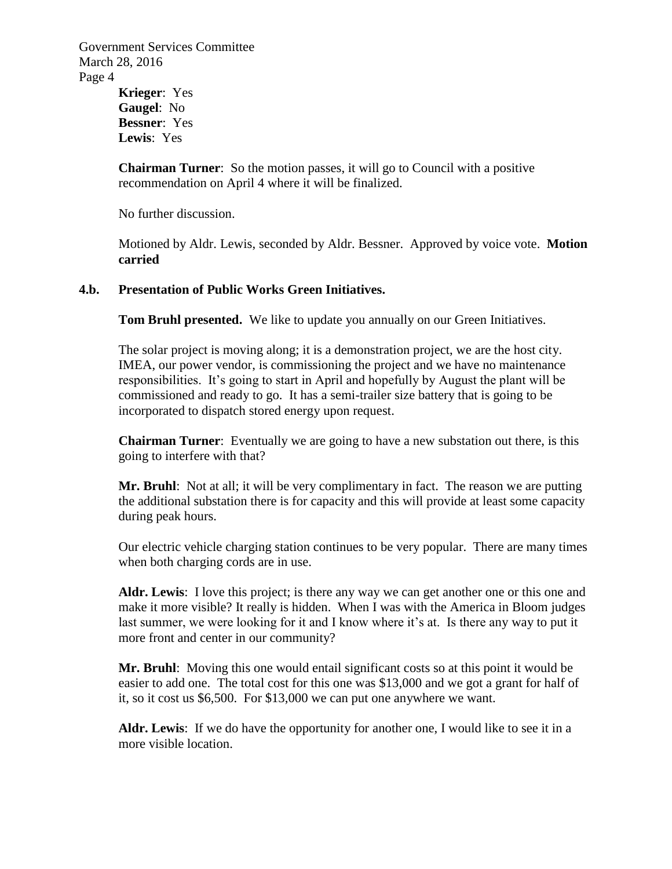**Krieger**: Yes **Gaugel**: No **Bessner**: Yes **Lewis**: Yes

**Chairman Turner**: So the motion passes, it will go to Council with a positive recommendation on April 4 where it will be finalized.

No further discussion.

Motioned by Aldr. Lewis, seconded by Aldr. Bessner. Approved by voice vote. **Motion carried**

### **4.b. Presentation of Public Works Green Initiatives.**

**Tom Bruhl presented.** We like to update you annually on our Green Initiatives.

The solar project is moving along; it is a demonstration project, we are the host city. IMEA, our power vendor, is commissioning the project and we have no maintenance responsibilities. It's going to start in April and hopefully by August the plant will be commissioned and ready to go. It has a semi-trailer size battery that is going to be incorporated to dispatch stored energy upon request.

**Chairman Turner**: Eventually we are going to have a new substation out there, is this going to interfere with that?

**Mr. Bruhl**: Not at all; it will be very complimentary in fact. The reason we are putting the additional substation there is for capacity and this will provide at least some capacity during peak hours.

Our electric vehicle charging station continues to be very popular. There are many times when both charging cords are in use.

Aldr. Lewis: I love this project; is there any way we can get another one or this one and make it more visible? It really is hidden. When I was with the America in Bloom judges last summer, we were looking for it and I know where it's at. Is there any way to put it more front and center in our community?

**Mr. Bruhl**: Moving this one would entail significant costs so at this point it would be easier to add one. The total cost for this one was \$13,000 and we got a grant for half of it, so it cost us \$6,500. For \$13,000 we can put one anywhere we want.

**Aldr. Lewis**: If we do have the opportunity for another one, I would like to see it in a more visible location.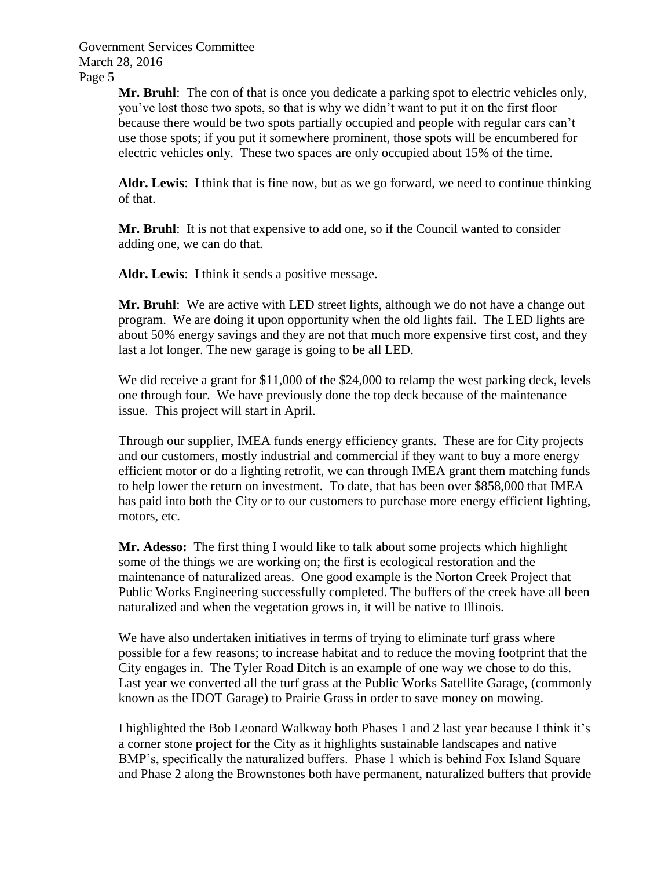> **Mr. Bruhl**: The con of that is once you dedicate a parking spot to electric vehicles only, you've lost those two spots, so that is why we didn't want to put it on the first floor because there would be two spots partially occupied and people with regular cars can't use those spots; if you put it somewhere prominent, those spots will be encumbered for electric vehicles only. These two spaces are only occupied about 15% of the time.

> **Aldr. Lewis**: I think that is fine now, but as we go forward, we need to continue thinking of that.

**Mr. Bruhl**: It is not that expensive to add one, so if the Council wanted to consider adding one, we can do that.

**Aldr. Lewis**: I think it sends a positive message.

**Mr. Bruhl**: We are active with LED street lights, although we do not have a change out program. We are doing it upon opportunity when the old lights fail. The LED lights are about 50% energy savings and they are not that much more expensive first cost, and they last a lot longer. The new garage is going to be all LED.

We did receive a grant for \$11,000 of the \$24,000 to relamp the west parking deck, levels one through four. We have previously done the top deck because of the maintenance issue. This project will start in April.

Through our supplier, IMEA funds energy efficiency grants. These are for City projects and our customers, mostly industrial and commercial if they want to buy a more energy efficient motor or do a lighting retrofit, we can through IMEA grant them matching funds to help lower the return on investment. To date, that has been over \$858,000 that IMEA has paid into both the City or to our customers to purchase more energy efficient lighting, motors, etc.

**Mr. Adesso:** The first thing I would like to talk about some projects which highlight some of the things we are working on; the first is ecological restoration and the maintenance of naturalized areas. One good example is the Norton Creek Project that Public Works Engineering successfully completed. The buffers of the creek have all been naturalized and when the vegetation grows in, it will be native to Illinois.

We have also undertaken initiatives in terms of trying to eliminate turf grass where possible for a few reasons; to increase habitat and to reduce the moving footprint that the City engages in. The Tyler Road Ditch is an example of one way we chose to do this. Last year we converted all the turf grass at the Public Works Satellite Garage, (commonly known as the IDOT Garage) to Prairie Grass in order to save money on mowing.

I highlighted the Bob Leonard Walkway both Phases 1 and 2 last year because I think it's a corner stone project for the City as it highlights sustainable landscapes and native BMP's, specifically the naturalized buffers. Phase 1 which is behind Fox Island Square and Phase 2 along the Brownstones both have permanent, naturalized buffers that provide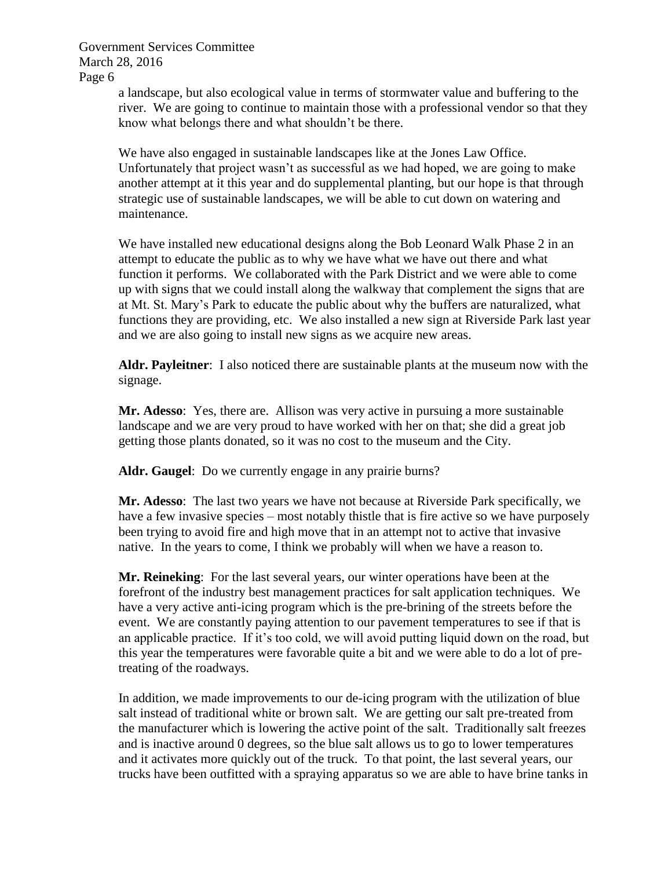> a landscape, but also ecological value in terms of stormwater value and buffering to the river. We are going to continue to maintain those with a professional vendor so that they know what belongs there and what shouldn't be there.

> We have also engaged in sustainable landscapes like at the Jones Law Office. Unfortunately that project wasn't as successful as we had hoped, we are going to make another attempt at it this year and do supplemental planting, but our hope is that through strategic use of sustainable landscapes, we will be able to cut down on watering and maintenance.

We have installed new educational designs along the Bob Leonard Walk Phase 2 in an attempt to educate the public as to why we have what we have out there and what function it performs. We collaborated with the Park District and we were able to come up with signs that we could install along the walkway that complement the signs that are at Mt. St. Mary's Park to educate the public about why the buffers are naturalized, what functions they are providing, etc. We also installed a new sign at Riverside Park last year and we are also going to install new signs as we acquire new areas.

**Aldr. Payleitner**: I also noticed there are sustainable plants at the museum now with the signage.

**Mr. Adesso**: Yes, there are. Allison was very active in pursuing a more sustainable landscape and we are very proud to have worked with her on that; she did a great job getting those plants donated, so it was no cost to the museum and the City.

**Aldr. Gaugel**: Do we currently engage in any prairie burns?

**Mr. Adesso**: The last two years we have not because at Riverside Park specifically, we have a few invasive species – most notably thistle that is fire active so we have purposely been trying to avoid fire and high move that in an attempt not to active that invasive native. In the years to come, I think we probably will when we have a reason to.

**Mr. Reineking**: For the last several years, our winter operations have been at the forefront of the industry best management practices for salt application techniques. We have a very active anti-icing program which is the pre-brining of the streets before the event. We are constantly paying attention to our pavement temperatures to see if that is an applicable practice. If it's too cold, we will avoid putting liquid down on the road, but this year the temperatures were favorable quite a bit and we were able to do a lot of pretreating of the roadways.

In addition, we made improvements to our de-icing program with the utilization of blue salt instead of traditional white or brown salt. We are getting our salt pre-treated from the manufacturer which is lowering the active point of the salt. Traditionally salt freezes and is inactive around 0 degrees, so the blue salt allows us to go to lower temperatures and it activates more quickly out of the truck. To that point, the last several years, our trucks have been outfitted with a spraying apparatus so we are able to have brine tanks in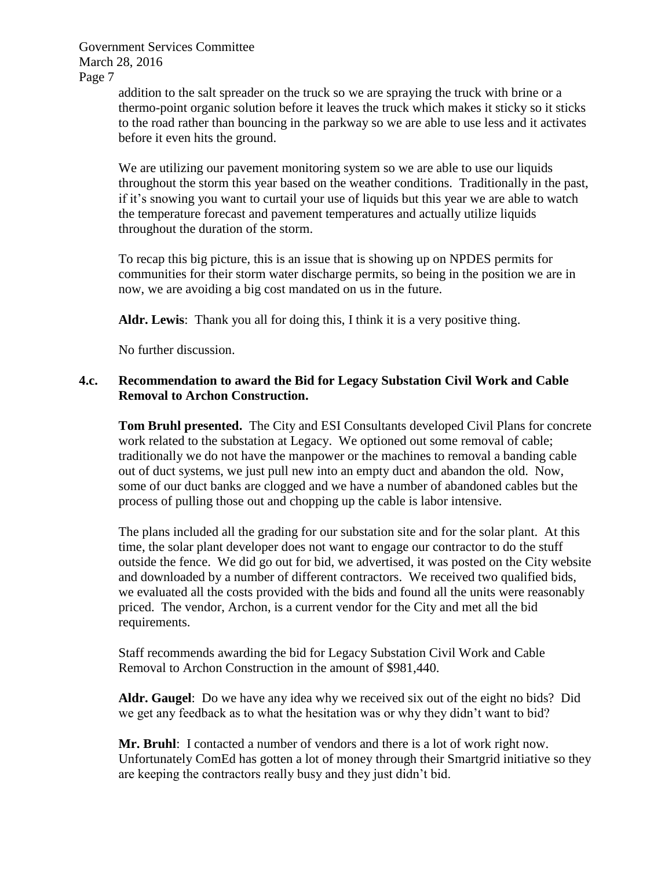> addition to the salt spreader on the truck so we are spraying the truck with brine or a thermo-point organic solution before it leaves the truck which makes it sticky so it sticks to the road rather than bouncing in the parkway so we are able to use less and it activates before it even hits the ground.

> We are utilizing our pavement monitoring system so we are able to use our liquids throughout the storm this year based on the weather conditions. Traditionally in the past, if it's snowing you want to curtail your use of liquids but this year we are able to watch the temperature forecast and pavement temperatures and actually utilize liquids throughout the duration of the storm.

To recap this big picture, this is an issue that is showing up on NPDES permits for communities for their storm water discharge permits, so being in the position we are in now, we are avoiding a big cost mandated on us in the future.

**Aldr. Lewis**: Thank you all for doing this, I think it is a very positive thing.

No further discussion.

### **4.c. Recommendation to award the Bid for Legacy Substation Civil Work and Cable Removal to Archon Construction.**

**Tom Bruhl presented.** The City and ESI Consultants developed Civil Plans for concrete work related to the substation at Legacy. We optioned out some removal of cable; traditionally we do not have the manpower or the machines to removal a banding cable out of duct systems, we just pull new into an empty duct and abandon the old. Now, some of our duct banks are clogged and we have a number of abandoned cables but the process of pulling those out and chopping up the cable is labor intensive.

The plans included all the grading for our substation site and for the solar plant. At this time, the solar plant developer does not want to engage our contractor to do the stuff outside the fence. We did go out for bid, we advertised, it was posted on the City website and downloaded by a number of different contractors. We received two qualified bids, we evaluated all the costs provided with the bids and found all the units were reasonably priced. The vendor, Archon, is a current vendor for the City and met all the bid requirements.

Staff recommends awarding the bid for Legacy Substation Civil Work and Cable Removal to Archon Construction in the amount of \$981,440.

**Aldr. Gaugel**: Do we have any idea why we received six out of the eight no bids? Did we get any feedback as to what the hesitation was or why they didn't want to bid?

**Mr. Bruhl**: I contacted a number of vendors and there is a lot of work right now. Unfortunately ComEd has gotten a lot of money through their Smartgrid initiative so they are keeping the contractors really busy and they just didn't bid.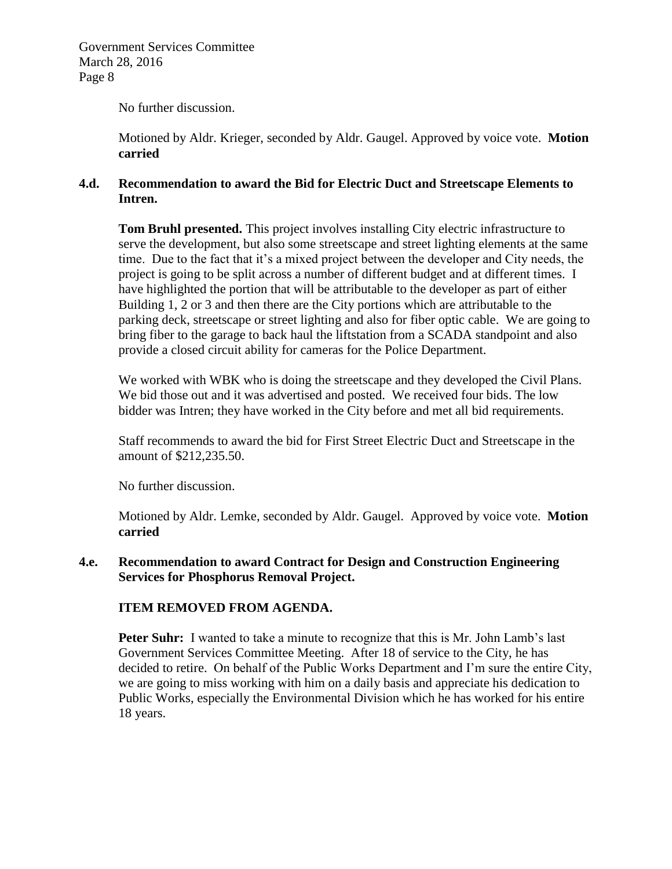No further discussion.

Motioned by Aldr. Krieger, seconded by Aldr. Gaugel. Approved by voice vote. **Motion carried**

### **4.d. Recommendation to award the Bid for Electric Duct and Streetscape Elements to Intren.**

**Tom Bruhl presented.** This project involves installing City electric infrastructure to serve the development, but also some streetscape and street lighting elements at the same time. Due to the fact that it's a mixed project between the developer and City needs, the project is going to be split across a number of different budget and at different times. I have highlighted the portion that will be attributable to the developer as part of either Building 1, 2 or 3 and then there are the City portions which are attributable to the parking deck, streetscape or street lighting and also for fiber optic cable. We are going to bring fiber to the garage to back haul the liftstation from a SCADA standpoint and also provide a closed circuit ability for cameras for the Police Department.

We worked with WBK who is doing the streetscape and they developed the Civil Plans. We bid those out and it was advertised and posted. We received four bids. The low bidder was Intren; they have worked in the City before and met all bid requirements.

Staff recommends to award the bid for First Street Electric Duct and Streetscape in the amount of \$212,235.50.

No further discussion.

Motioned by Aldr. Lemke, seconded by Aldr. Gaugel. Approved by voice vote. **Motion carried**

### **4.e. Recommendation to award Contract for Design and Construction Engineering Services for Phosphorus Removal Project.**

### **ITEM REMOVED FROM AGENDA.**

**Peter Suhr:** I wanted to take a minute to recognize that this is Mr. John Lamb's last Government Services Committee Meeting. After 18 of service to the City, he has decided to retire. On behalf of the Public Works Department and I'm sure the entire City, we are going to miss working with him on a daily basis and appreciate his dedication to Public Works, especially the Environmental Division which he has worked for his entire 18 years.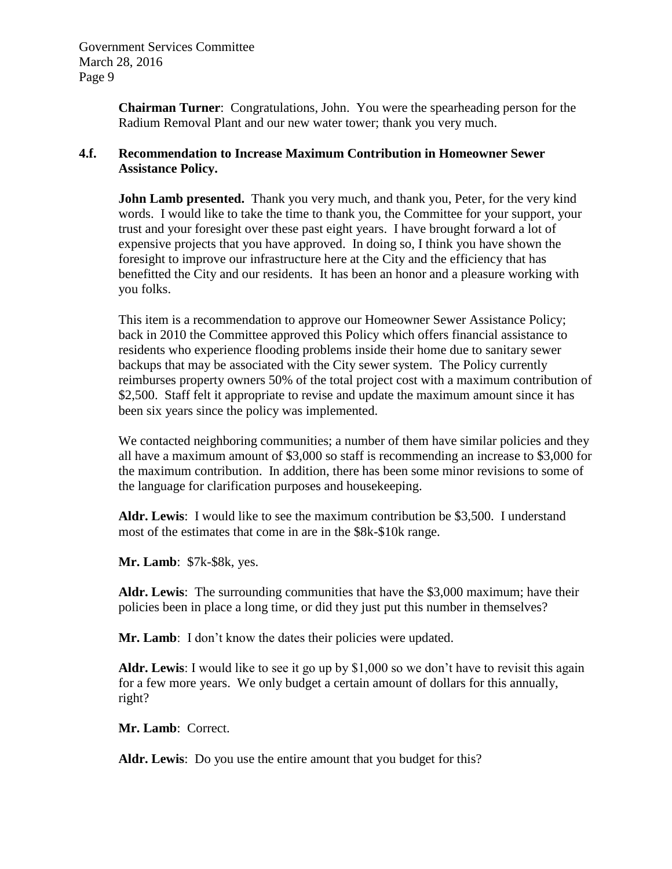**Chairman Turner**: Congratulations, John. You were the spearheading person for the Radium Removal Plant and our new water tower; thank you very much.

### **4.f. Recommendation to Increase Maximum Contribution in Homeowner Sewer Assistance Policy.**

**John Lamb presented.** Thank you very much, and thank you, Peter, for the very kind words. I would like to take the time to thank you, the Committee for your support, your trust and your foresight over these past eight years. I have brought forward a lot of expensive projects that you have approved. In doing so, I think you have shown the foresight to improve our infrastructure here at the City and the efficiency that has benefitted the City and our residents. It has been an honor and a pleasure working with you folks.

This item is a recommendation to approve our Homeowner Sewer Assistance Policy; back in 2010 the Committee approved this Policy which offers financial assistance to residents who experience flooding problems inside their home due to sanitary sewer backups that may be associated with the City sewer system. The Policy currently reimburses property owners 50% of the total project cost with a maximum contribution of \$2,500. Staff felt it appropriate to revise and update the maximum amount since it has been six years since the policy was implemented.

We contacted neighboring communities; a number of them have similar policies and they all have a maximum amount of \$3,000 so staff is recommending an increase to \$3,000 for the maximum contribution. In addition, there has been some minor revisions to some of the language for clarification purposes and housekeeping.

**Aldr. Lewis**: I would like to see the maximum contribution be \$3,500. I understand most of the estimates that come in are in the \$8k-\$10k range.

**Mr. Lamb**: \$7k-\$8k, yes.

**Aldr. Lewis**: The surrounding communities that have the \$3,000 maximum; have their policies been in place a long time, or did they just put this number in themselves?

**Mr. Lamb**: I don't know the dates their policies were updated.

**Aldr. Lewis**: I would like to see it go up by \$1,000 so we don't have to revisit this again for a few more years. We only budget a certain amount of dollars for this annually, right?

**Mr. Lamb**: Correct.

**Aldr. Lewis**: Do you use the entire amount that you budget for this?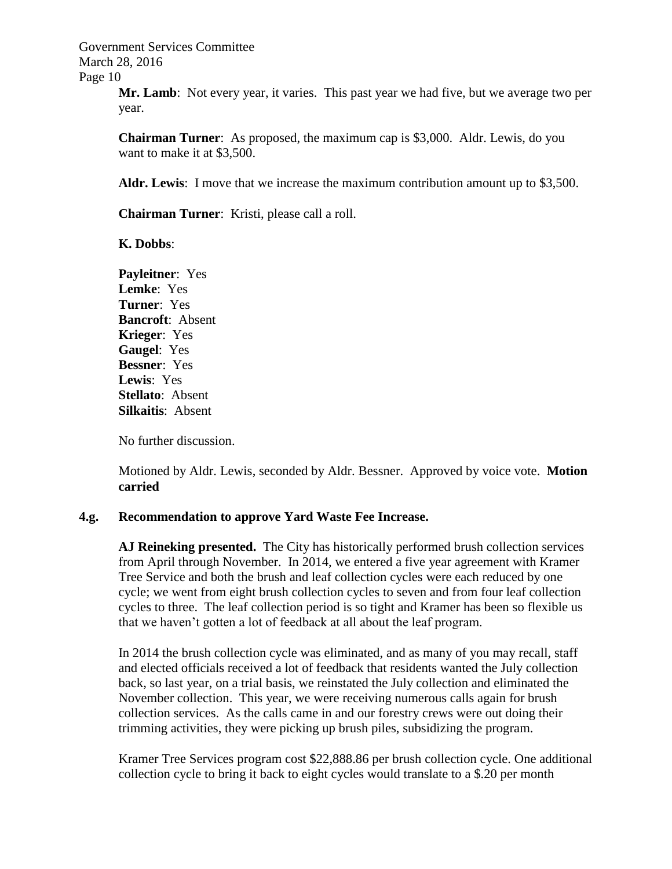> **Mr. Lamb**: Not every year, it varies. This past year we had five, but we average two per year.

**Chairman Turner**: As proposed, the maximum cap is \$3,000. Aldr. Lewis, do you want to make it at \$3,500.

**Aldr. Lewis**: I move that we increase the maximum contribution amount up to \$3,500.

**Chairman Turner**: Kristi, please call a roll.

**K. Dobbs**:

**Payleitner**: Yes **Lemke**: Yes **Turner**: Yes **Bancroft**: Absent **Krieger**: Yes **Gaugel**: Yes **Bessner**: Yes **Lewis**: Yes **Stellato**: Absent **Silkaitis**: Absent

No further discussion.

Motioned by Aldr. Lewis, seconded by Aldr. Bessner. Approved by voice vote. **Motion carried**

#### **4.g. Recommendation to approve Yard Waste Fee Increase.**

**AJ Reineking presented.** The City has historically performed brush collection services from April through November. In 2014, we entered a five year agreement with Kramer Tree Service and both the brush and leaf collection cycles were each reduced by one cycle; we went from eight brush collection cycles to seven and from four leaf collection cycles to three. The leaf collection period is so tight and Kramer has been so flexible us that we haven't gotten a lot of feedback at all about the leaf program.

In 2014 the brush collection cycle was eliminated, and as many of you may recall, staff and elected officials received a lot of feedback that residents wanted the July collection back, so last year, on a trial basis, we reinstated the July collection and eliminated the November collection. This year, we were receiving numerous calls again for brush collection services. As the calls came in and our forestry crews were out doing their trimming activities, they were picking up brush piles, subsidizing the program.

Kramer Tree Services program cost \$22,888.86 per brush collection cycle. One additional collection cycle to bring it back to eight cycles would translate to a \$.20 per month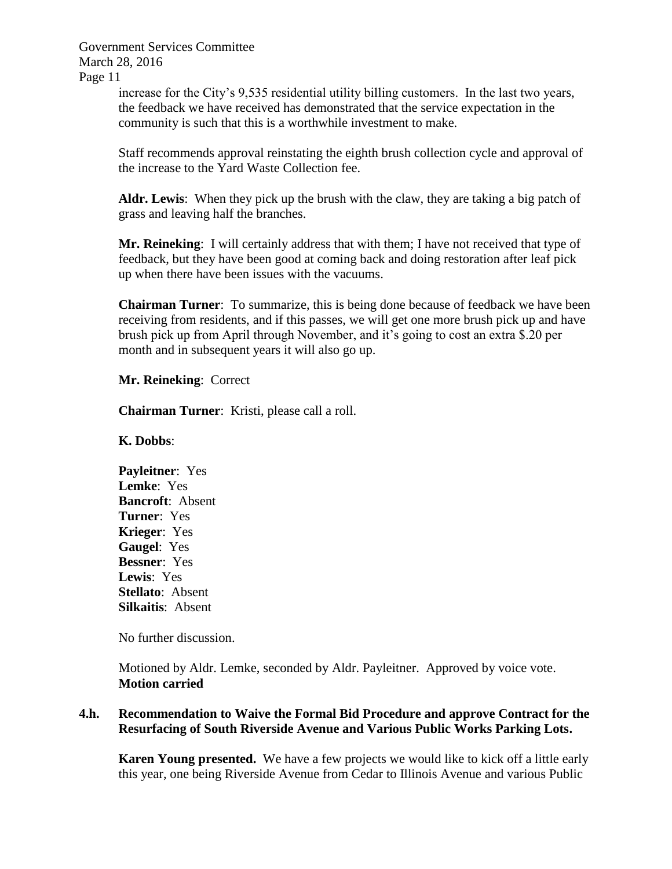> increase for the City's 9,535 residential utility billing customers. In the last two years, the feedback we have received has demonstrated that the service expectation in the community is such that this is a worthwhile investment to make.

Staff recommends approval reinstating the eighth brush collection cycle and approval of the increase to the Yard Waste Collection fee.

**Aldr. Lewis**: When they pick up the brush with the claw, they are taking a big patch of grass and leaving half the branches.

**Mr. Reineking**: I will certainly address that with them; I have not received that type of feedback, but they have been good at coming back and doing restoration after leaf pick up when there have been issues with the vacuums.

**Chairman Turner**: To summarize, this is being done because of feedback we have been receiving from residents, and if this passes, we will get one more brush pick up and have brush pick up from April through November, and it's going to cost an extra \$.20 per month and in subsequent years it will also go up.

**Mr. Reineking**: Correct

**Chairman Turner**: Kristi, please call a roll.

**K. Dobbs**:

**Payleitner**: Yes **Lemke**: Yes **Bancroft**: Absent **Turner**: Yes **Krieger**: Yes **Gaugel**: Yes **Bessner**: Yes **Lewis**: Yes **Stellato**: Absent **Silkaitis**: Absent

No further discussion.

Motioned by Aldr. Lemke, seconded by Aldr. Payleitner. Approved by voice vote. **Motion carried**

### **4.h. Recommendation to Waive the Formal Bid Procedure and approve Contract for the Resurfacing of South Riverside Avenue and Various Public Works Parking Lots.**

**Karen Young presented.** We have a few projects we would like to kick off a little early this year, one being Riverside Avenue from Cedar to Illinois Avenue and various Public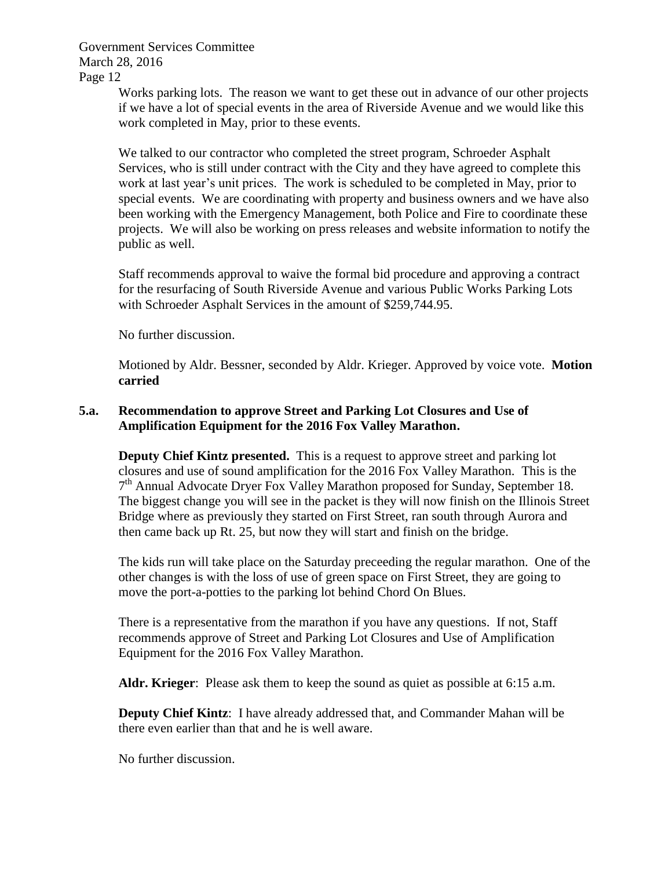> Works parking lots. The reason we want to get these out in advance of our other projects if we have a lot of special events in the area of Riverside Avenue and we would like this work completed in May, prior to these events.

> We talked to our contractor who completed the street program, Schroeder Asphalt Services, who is still under contract with the City and they have agreed to complete this work at last year's unit prices. The work is scheduled to be completed in May, prior to special events. We are coordinating with property and business owners and we have also been working with the Emergency Management, both Police and Fire to coordinate these projects. We will also be working on press releases and website information to notify the public as well.

Staff recommends approval to waive the formal bid procedure and approving a contract for the resurfacing of South Riverside Avenue and various Public Works Parking Lots with Schroeder Asphalt Services in the amount of \$259,744.95.

No further discussion.

Motioned by Aldr. Bessner, seconded by Aldr. Krieger. Approved by voice vote. **Motion carried**

# **5.a. Recommendation to approve Street and Parking Lot Closures and Use of Amplification Equipment for the 2016 Fox Valley Marathon.**

**Deputy Chief Kintz presented.** This is a request to approve street and parking lot closures and use of sound amplification for the 2016 Fox Valley Marathon. This is the 7<sup>th</sup> Annual Advocate Dryer Fox Valley Marathon proposed for Sunday, September 18. The biggest change you will see in the packet is they will now finish on the Illinois Street Bridge where as previously they started on First Street, ran south through Aurora and then came back up Rt. 25, but now they will start and finish on the bridge.

The kids run will take place on the Saturday preceeding the regular marathon. One of the other changes is with the loss of use of green space on First Street, they are going to move the port-a-potties to the parking lot behind Chord On Blues.

There is a representative from the marathon if you have any questions. If not, Staff recommends approve of Street and Parking Lot Closures and Use of Amplification Equipment for the 2016 Fox Valley Marathon.

**Aldr. Krieger**: Please ask them to keep the sound as quiet as possible at 6:15 a.m.

**Deputy Chief Kintz**: I have already addressed that, and Commander Mahan will be there even earlier than that and he is well aware.

No further discussion.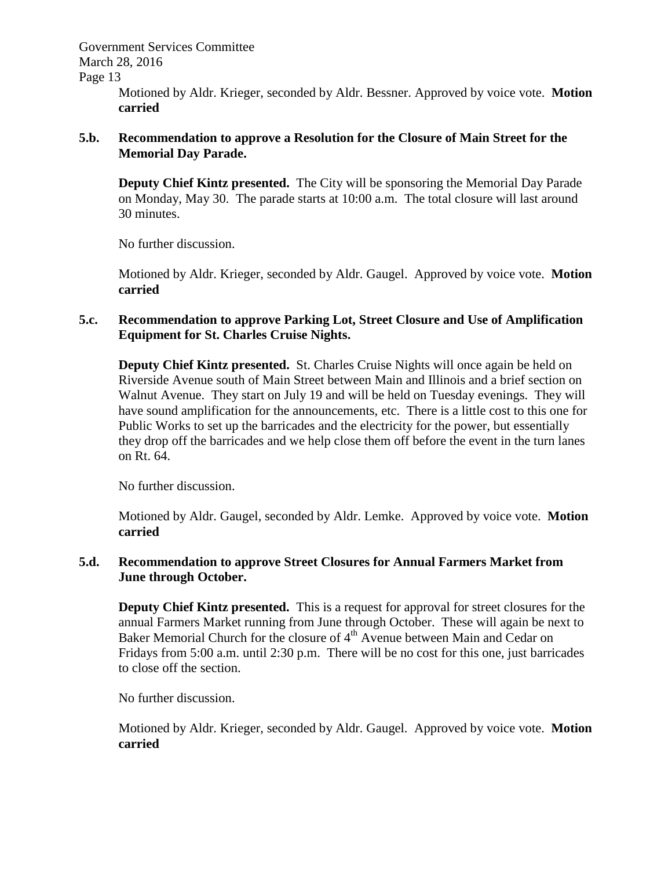Government Services Committee March 28, 2016

Page 13

Motioned by Aldr. Krieger, seconded by Aldr. Bessner. Approved by voice vote. **Motion carried**

### **5.b. Recommendation to approve a Resolution for the Closure of Main Street for the Memorial Day Parade.**

**Deputy Chief Kintz presented.** The City will be sponsoring the Memorial Day Parade on Monday, May 30. The parade starts at 10:00 a.m. The total closure will last around 30 minutes.

No further discussion.

Motioned by Aldr. Krieger, seconded by Aldr. Gaugel. Approved by voice vote. **Motion carried**

### **5.c. Recommendation to approve Parking Lot, Street Closure and Use of Amplification Equipment for St. Charles Cruise Nights.**

**Deputy Chief Kintz presented.** St. Charles Cruise Nights will once again be held on Riverside Avenue south of Main Street between Main and Illinois and a brief section on Walnut Avenue. They start on July 19 and will be held on Tuesday evenings. They will have sound amplification for the announcements, etc. There is a little cost to this one for Public Works to set up the barricades and the electricity for the power, but essentially they drop off the barricades and we help close them off before the event in the turn lanes on Rt. 64.

No further discussion.

Motioned by Aldr. Gaugel, seconded by Aldr. Lemke. Approved by voice vote. **Motion carried**

### **5.d. Recommendation to approve Street Closures for Annual Farmers Market from June through October.**

**Deputy Chief Kintz presented.** This is a request for approval for street closures for the annual Farmers Market running from June through October. These will again be next to Baker Memorial Church for the closure of 4<sup>th</sup> Avenue between Main and Cedar on Fridays from 5:00 a.m. until 2:30 p.m. There will be no cost for this one, just barricades to close off the section.

No further discussion.

Motioned by Aldr. Krieger, seconded by Aldr. Gaugel. Approved by voice vote. **Motion carried**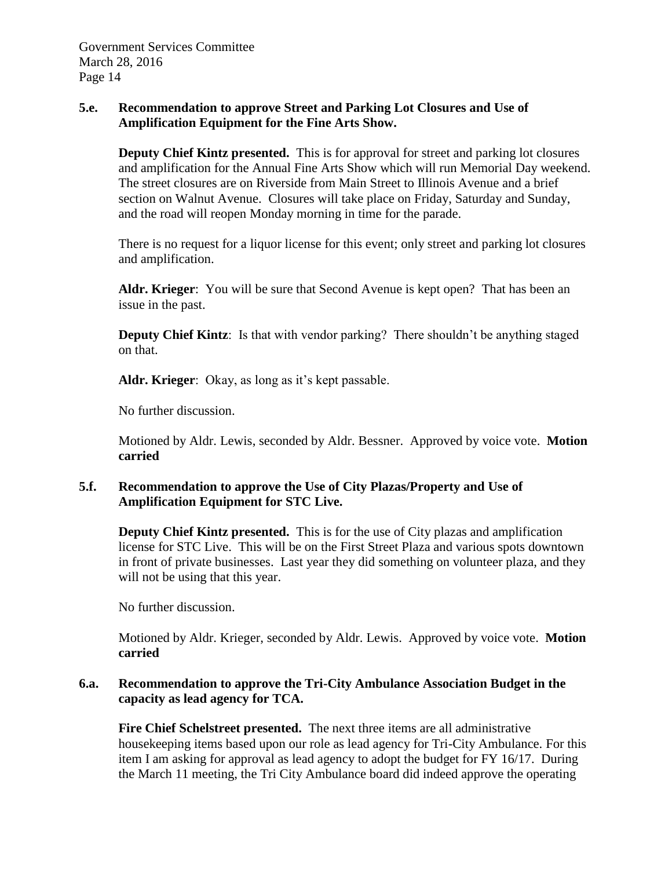### **5.e. Recommendation to approve Street and Parking Lot Closures and Use of Amplification Equipment for the Fine Arts Show.**

**Deputy Chief Kintz presented.** This is for approval for street and parking lot closures and amplification for the Annual Fine Arts Show which will run Memorial Day weekend. The street closures are on Riverside from Main Street to Illinois Avenue and a brief section on Walnut Avenue. Closures will take place on Friday, Saturday and Sunday, and the road will reopen Monday morning in time for the parade.

There is no request for a liquor license for this event; only street and parking lot closures and amplification.

**Aldr. Krieger**: You will be sure that Second Avenue is kept open? That has been an issue in the past.

**Deputy Chief Kintz**: Is that with vendor parking? There shouldn't be anything staged on that.

**Aldr. Krieger**: Okay, as long as it's kept passable.

No further discussion.

Motioned by Aldr. Lewis, seconded by Aldr. Bessner. Approved by voice vote. **Motion carried**

# **5.f. Recommendation to approve the Use of City Plazas/Property and Use of Amplification Equipment for STC Live.**

**Deputy Chief Kintz presented.** This is for the use of City plazas and amplification license for STC Live. This will be on the First Street Plaza and various spots downtown in front of private businesses. Last year they did something on volunteer plaza, and they will not be using that this year.

No further discussion.

Motioned by Aldr. Krieger, seconded by Aldr. Lewis. Approved by voice vote. **Motion carried**

### **6.a. Recommendation to approve the Tri-City Ambulance Association Budget in the capacity as lead agency for TCA.**

**Fire Chief Schelstreet presented.** The next three items are all administrative housekeeping items based upon our role as lead agency for Tri-City Ambulance. For this item I am asking for approval as lead agency to adopt the budget for FY 16/17. During the March 11 meeting, the Tri City Ambulance board did indeed approve the operating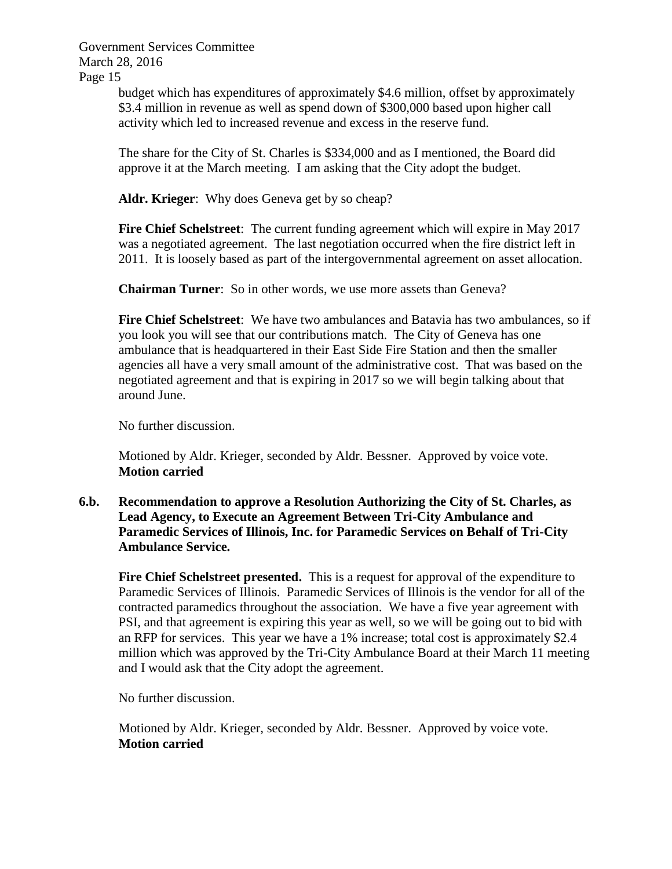> budget which has expenditures of approximately \$4.6 million, offset by approximately \$3.4 million in revenue as well as spend down of \$300,000 based upon higher call activity which led to increased revenue and excess in the reserve fund.

The share for the City of St. Charles is \$334,000 and as I mentioned, the Board did approve it at the March meeting. I am asking that the City adopt the budget.

**Aldr. Krieger**: Why does Geneva get by so cheap?

**Fire Chief Schelstreet**: The current funding agreement which will expire in May 2017 was a negotiated agreement. The last negotiation occurred when the fire district left in 2011. It is loosely based as part of the intergovernmental agreement on asset allocation.

**Chairman Turner**: So in other words, we use more assets than Geneva?

**Fire Chief Schelstreet**: We have two ambulances and Batavia has two ambulances, so if you look you will see that our contributions match. The City of Geneva has one ambulance that is headquartered in their East Side Fire Station and then the smaller agencies all have a very small amount of the administrative cost. That was based on the negotiated agreement and that is expiring in 2017 so we will begin talking about that around June.

No further discussion.

Motioned by Aldr. Krieger, seconded by Aldr. Bessner. Approved by voice vote. **Motion carried**

**6.b. Recommendation to approve a Resolution Authorizing the City of St. Charles, as Lead Agency, to Execute an Agreement Between Tri-City Ambulance and Paramedic Services of Illinois, Inc. for Paramedic Services on Behalf of Tri-City Ambulance Service.** 

**Fire Chief Schelstreet presented.** This is a request for approval of the expenditure to Paramedic Services of Illinois. Paramedic Services of Illinois is the vendor for all of the contracted paramedics throughout the association. We have a five year agreement with PSI, and that agreement is expiring this year as well, so we will be going out to bid with an RFP for services. This year we have a 1% increase; total cost is approximately \$2.4 million which was approved by the Tri-City Ambulance Board at their March 11 meeting and I would ask that the City adopt the agreement.

No further discussion.

Motioned by Aldr. Krieger, seconded by Aldr. Bessner. Approved by voice vote. **Motion carried**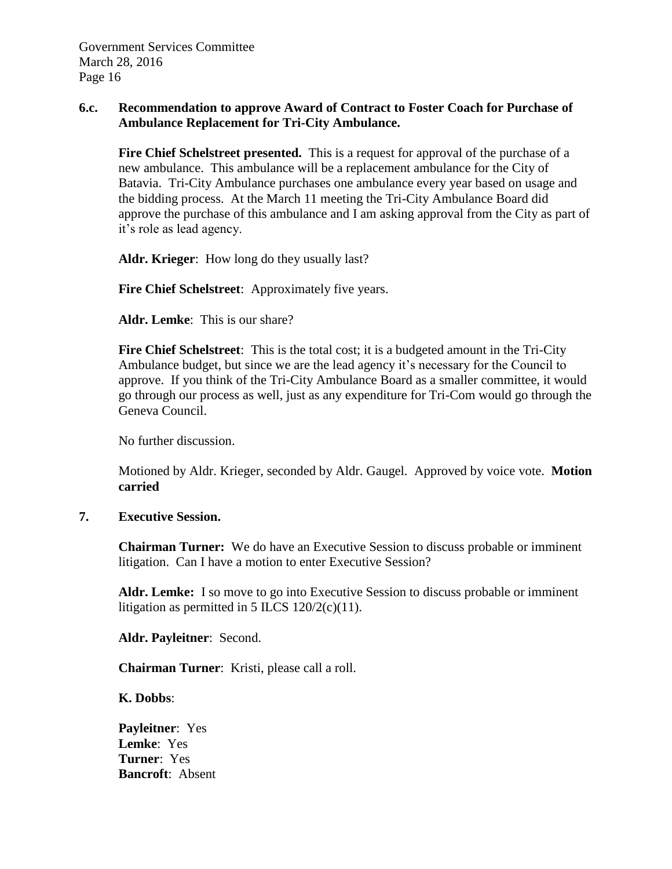### **6.c. Recommendation to approve Award of Contract to Foster Coach for Purchase of Ambulance Replacement for Tri-City Ambulance.**

**Fire Chief Schelstreet presented.** This is a request for approval of the purchase of a new ambulance. This ambulance will be a replacement ambulance for the City of Batavia. Tri-City Ambulance purchases one ambulance every year based on usage and the bidding process. At the March 11 meeting the Tri-City Ambulance Board did approve the purchase of this ambulance and I am asking approval from the City as part of it's role as lead agency.

**Aldr. Krieger**: How long do they usually last?

**Fire Chief Schelstreet**: Approximately five years.

**Aldr. Lemke**: This is our share?

**Fire Chief Schelstreet**: This is the total cost; it is a budgeted amount in the Tri-City Ambulance budget, but since we are the lead agency it's necessary for the Council to approve. If you think of the Tri-City Ambulance Board as a smaller committee, it would go through our process as well, just as any expenditure for Tri-Com would go through the Geneva Council.

No further discussion.

Motioned by Aldr. Krieger, seconded by Aldr. Gaugel. Approved by voice vote. **Motion carried**

#### **7. Executive Session.**

**Chairman Turner:** We do have an Executive Session to discuss probable or imminent litigation. Can I have a motion to enter Executive Session?

**Aldr. Lemke:** I so move to go into Executive Session to discuss probable or imminent litigation as permitted in 5 ILCS  $120/2(c)(11)$ .

**Aldr. Payleitner**: Second.

**Chairman Turner**: Kristi, please call a roll.

**K. Dobbs**:

**Payleitner**: Yes **Lemke**: Yes **Turner**: Yes **Bancroft**: Absent